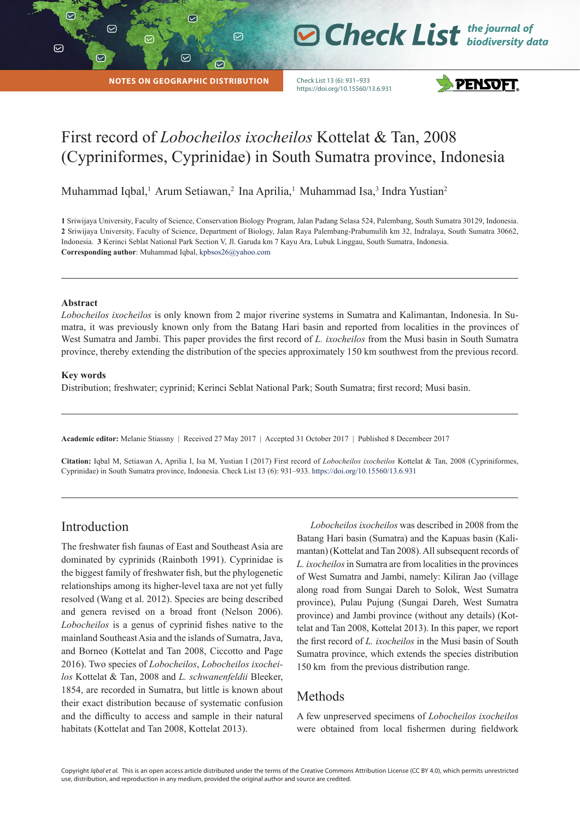$\odot$ 

 $\overline{\triangledown}$ 

|

**NOTES ON GEOGRAPHIC DISTRIBUTION**

 $\odot$ 

♡

Check List 13 (6): 931–933 https://doi.org/10.15560/13.6.931



**O Check List** the journal of

# First record of *Lobocheilos ixocheilos* Kottelat & Tan, 2008 (Cypriniformes, Cyprinidae) in South Sumatra province, Indonesia

Muhammad Iqbal,<sup>1</sup> Arum Setiawan,<sup>2</sup> Ina Aprilia,<sup>1</sup> Muhammad Isa,<sup>3</sup> Indra Yustian<sup>2</sup>

 $\odot$ 

**1** Sriwijaya University, Faculty of Science, Conservation Biology Program, Jalan Padang Selasa 524, Palembang, South Sumatra 30129, Indonesia. **2** Sriwijaya University, Faculty of Science, Department of Biology, Jalan Raya Palembang-Prabumulih km 32, Indralaya, South Sumatra 30662, Indonesia. **3** Kerinci Seblat National Park Section V, Jl. Garuda km 7 Kayu Ara, Lubuk Linggau, South Sumatra, Indonesia. **Corresponding author**: Muhammad Iqbal, kpbsos26@yahoo.com

#### **Abstract**

*Lobocheilos ixocheilos* is only known from 2 major riverine systems in Sumatra and Kalimantan, Indonesia. In Sumatra, it was previously known only from the Batang Hari basin and reported from localities in the provinces of West Sumatra and Jambi. This paper provides the first record of *L. ixocheilos* from the Musi basin in South Sumatra province, thereby extending the distribution of the species approximately 150 km southwest from the previous record.

#### **Key words**

Distribution; freshwater; cyprinid; Kerinci Seblat National Park; South Sumatra; first record; Musi basin.

**Academic editor:** Melanie Stiassny | Received 27 May 2017 | Accepted 31 October 2017 | Published 8 Decembeer 2017

**Citation:** Iqbal M, Setiawan A, Aprilia I, Isa M, Yustian I (2017) First record of *Lobocheilos ixocheilos* Kottelat & Tan, 2008 (Cypriniformes, Cyprinidae) in South Sumatra province, Indonesia. Check List 13 (6): 931–933. https://doi.org/10.15560/13.6.931

### Introduction

The freshwater fish faunas of East and Southeast Asia are dominated by cyprinids (Rainboth 1991). Cyprinidae is the biggest family of freshwater fish, but the phylogenetic relationships among its higher-level taxa are not yet fully resolved (Wang et al. 2012). Species are being described and genera revised on a broad front (Nelson 2006). *Lobocheilos* is a genus of cyprinid fishes native to the mainland Southeast Asia and the islands of Sumatra, Java, and Borneo (Kottelat and Tan 2008, Ciccotto and Page 2016). Two species of *Lobocheilos*, *Lobocheilos ixocheilos* Kottelat & Tan, 2008 and *L. schwanenfeldii* Bleeker, 1854, are recorded in Sumatra, but little is known about their exact distribution because of systematic confusion and the difficulty to access and sample in their natural habitats (Kottelat and Tan 2008, Kottelat 2013).

*Lobocheilos ixocheilos* was described in 2008 from the Batang Hari basin (Sumatra) and the Kapuas basin (Kalimantan) (Kottelat and Tan 2008). All subsequent records of *L. ixocheilos* in Sumatra are from localities in the provinces of West Sumatra and Jambi, namely: Kiliran Jao (village along road from Sungai Dareh to Solok, West Sumatra province), Pulau Pujung (Sungai Dareh, West Sumatra province) and Jambi province (without any details) (Kottelat and Tan 2008, Kottelat 2013). In this paper, we report the first record of *L. ixocheilos* in the Musi basin of South Sumatra province, which extends the species distribution 150 km from the previous distribution range.

# Methods

A few unpreserved specimens of *Lobocheilos ixocheilos*  were obtained from local fishermen during fieldwork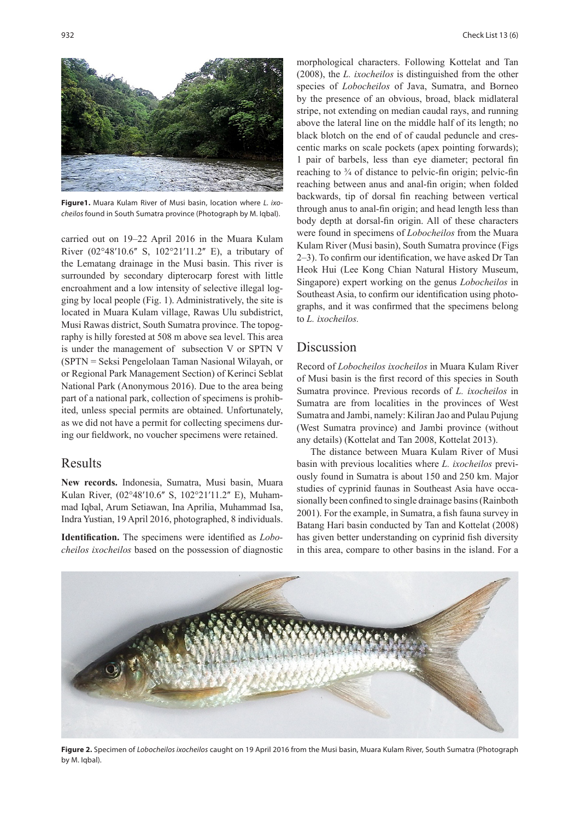

**Figure1.** Muara Kulam River of Musi basin, location where *L. ixocheilos* found in South Sumatra province (Photograph by M. Iqbal).

carried out on 19–22 April 2016 in the Muara Kulam River  $(02^{\circ}48'10.6''$  S,  $102^{\circ}21'11.2''$  E), a tributary of the Lematang drainage in the Musi basin. This river is surrounded by secondary dipterocarp forest with little encroahment and a low intensity of selective illegal logging by local people (Fig. 1). Administratively, the site is located in Muara Kulam village, Rawas Ulu subdistrict, Musi Rawas district, South Sumatra province. The topography is hilly forested at 508 m above sea level. This area is under the management of subsection V or SPTN V (SPTN = Seksi Pengelolaan Taman Nasional Wilayah, or or Regional Park Management Section) of Kerinci Seblat National Park (Anonymous 2016). Due to the area being part of a national park, collection of specimens is prohibited, unless special permits are obtained. Unfortunately, as we did not have a permit for collecting specimens during our fieldwork, no voucher specimens were retained.

## Results

**New records.** Indonesia, Sumatra, Musi basin, Muara Kulan River, (02°48'10.6" S, 102°21'11.2" E), Muhammad Iqbal, Arum Setiawan, Ina Aprilia, Muhammad Isa, Indra Yustian, 19 April 2016, photographed, 8 individuals.

**Identification.** The specimens were identified as *Lobocheilos ixocheilos* based on the possession of diagnostic

morphological characters. Following Kottelat and Tan (2008), the *L. ixocheilos* is distinguished from the other species of *Lobocheilos* of Java, Sumatra, and Borneo by the presence of an obvious, broad, black midlateral stripe, not extending on median caudal rays, and running above the lateral line on the middle half of its length; no black blotch on the end of of caudal peduncle and crescentic marks on scale pockets (apex pointing forwards); 1 pair of barbels, less than eye diameter; pectoral fin reaching to 3/4 of distance to pelvic-fin origin; pelvic-fin reaching between anus and anal-fin origin; when folded backwards, tip of dorsal fin reaching between vertical through anus to anal-fin origin; and head length less than body depth at dorsal-fin origin. All of these characters were found in specimens of *Lobocheilos* from the Muara Kulam River (Musi basin), South Sumatra province (Figs 2–3). To confirm our identification, we have asked Dr Tan Heok Hui (Lee Kong Chian Natural History Museum, Singapore) expert working on the genus *Lobocheilos* in Southeast Asia, to confirm our identification using photographs, and it was confirmed that the specimens belong to *L. ixocheilos.*

## Discussion

Record of *Lobocheilos ixocheilos* in Muara Kulam River of Musi basin is the first record of this species in South Sumatra province. Previous records of *L. ixocheilos* in Sumatra are from localities in the provinces of West Sumatra and Jambi, namely: Kiliran Jao and Pulau Pujung (West Sumatra province) and Jambi province (without any details) (Kottelat and Tan 2008, Kottelat 2013).

The distance between Muara Kulam River of Musi basin with previous localities where *L. ixocheilos* previously found in Sumatra is about 150 and 250 km. Major studies of cyprinid faunas in Southeast Asia have occasionally been confined to single drainage basins (Rainboth 2001). For the example, in Sumatra, a fish fauna survey in Batang Hari basin conducted by Tan and Kottelat (2008) has given better understanding on cyprinid fish diversity in this area, compare to other basins in the island. For a



**Figure 2.** Specimen of *Lobocheilos ixocheilos* caught on 19 April 2016 from the Musi basin, Muara Kulam River, South Sumatra (Photograph by M. Iqbal).